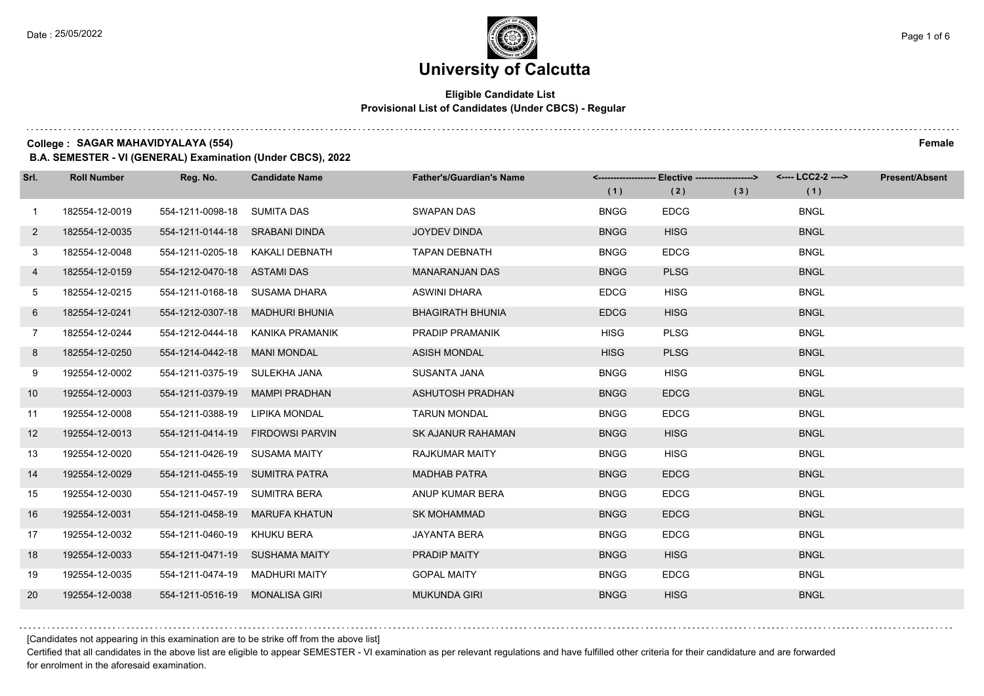$1.1111$ 

### **University of Calcutta**

#### **Eligible Candidate List Provisional List of Candidates (Under CBCS) - Regular**

**College : SAGAR MAHAVIDYALAYA (554) Female**

**B.A. SEMESTER - VI (GENERAL) Examination (Under CBCS), 2022**

| Srl.         | <b>Roll Number</b> | Reg. No.                       | <b>Candidate Name</b>            | <b>Father's/Guardian's Name</b> |             | <-------------------- Elective -------------------> |     | <---- LCC2-2 ----> | <b>Present/Absent</b> |
|--------------|--------------------|--------------------------------|----------------------------------|---------------------------------|-------------|-----------------------------------------------------|-----|--------------------|-----------------------|
|              |                    |                                |                                  |                                 | (1)         | (2)                                                 | (3) | (1)                |                       |
| $\mathbf{1}$ | 182554-12-0019     | 554-1211-0098-18 SUMITA DAS    |                                  | <b>SWAPAN DAS</b>               | <b>BNGG</b> | <b>EDCG</b>                                         |     | <b>BNGL</b>        |                       |
| $\mathbf{2}$ | 182554-12-0035     | 554-1211-0144-18 SRABANI DINDA |                                  | <b>JOYDEV DINDA</b>             | <b>BNGG</b> | <b>HISG</b>                                         |     | <b>BNGL</b>        |                       |
| 3            | 182554-12-0048     |                                | 554-1211-0205-18 KAKALI DEBNATH  | <b>TAPAN DEBNATH</b>            | <b>BNGG</b> | <b>EDCG</b>                                         |     | <b>BNGL</b>        |                       |
| 4            | 182554-12-0159     | 554-1212-0470-18 ASTAMI DAS    |                                  | <b>MANARANJAN DAS</b>           | <b>BNGG</b> | <b>PLSG</b>                                         |     | <b>BNGL</b>        |                       |
| 5            | 182554-12-0215     | 554-1211-0168-18 SUSAMA DHARA  |                                  | <b>ASWINI DHARA</b>             | <b>EDCG</b> | <b>HISG</b>                                         |     | <b>BNGL</b>        |                       |
| 6            | 182554-12-0241     | 554-1212-0307-18               | MADHURI BHUNIA                   | <b>BHAGIRATH BHUNIA</b>         | <b>EDCG</b> | <b>HISG</b>                                         |     | <b>BNGL</b>        |                       |
| $7^{\circ}$  | 182554-12-0244     |                                | 554-1212-0444-18 KANIKA PRAMANIK | PRADIP PRAMANIK                 | <b>HISG</b> | <b>PLSG</b>                                         |     | <b>BNGL</b>        |                       |
| 8            | 182554-12-0250     | 554-1214-0442-18               | <b>MANI MONDAL</b>               | <b>ASISH MONDAL</b>             | <b>HISG</b> | <b>PLSG</b>                                         |     | <b>BNGL</b>        |                       |
| 9            | 192554-12-0002     | 554-1211-0375-19 SULEKHA JANA  |                                  | SUSANTA JANA                    | <b>BNGG</b> | <b>HISG</b>                                         |     | <b>BNGL</b>        |                       |
| 10           | 192554-12-0003     | 554-1211-0379-19               | <b>MAMPI PRADHAN</b>             | ASHUTOSH PRADHAN                | <b>BNGG</b> | <b>EDCG</b>                                         |     | <b>BNGL</b>        |                       |
| 11           | 192554-12-0008     | 554-1211-0388-19 LIPIKA MONDAL |                                  | <b>TARUN MONDAL</b>             | <b>BNGG</b> | <b>EDCG</b>                                         |     | <b>BNGL</b>        |                       |
| 12           | 192554-12-0013     | 554-1211-0414-19               | <b>FIRDOWSI PARVIN</b>           | <b>SK AJANUR RAHAMAN</b>        | <b>BNGG</b> | <b>HISG</b>                                         |     | <b>BNGL</b>        |                       |
| 13           | 192554-12-0020     | 554-1211-0426-19               | <b>SUSAMA MAITY</b>              | <b>RAJKUMAR MAITY</b>           | <b>BNGG</b> | <b>HISG</b>                                         |     | <b>BNGL</b>        |                       |
| 14           | 192554-12-0029     | 554-1211-0455-19 SUMITRA PATRA |                                  | <b>MADHAB PATRA</b>             | <b>BNGG</b> | <b>EDCG</b>                                         |     | <b>BNGL</b>        |                       |
| 15           | 192554-12-0030     | 554-1211-0457-19 SUMITRA BERA  |                                  | ANUP KUMAR BERA                 | <b>BNGG</b> | <b>EDCG</b>                                         |     | <b>BNGL</b>        |                       |
| 16           | 192554-12-0031     | 554-1211-0458-19               | <b>MARUFA KHATUN</b>             | <b>SK MOHAMMAD</b>              | <b>BNGG</b> | <b>EDCG</b>                                         |     | <b>BNGL</b>        |                       |
| 17           | 192554-12-0032     | 554-1211-0460-19               | <b>KHUKU BERA</b>                | <b>JAYANTA BERA</b>             | <b>BNGG</b> | <b>EDCG</b>                                         |     | <b>BNGL</b>        |                       |
| 18           | 192554-12-0033     | 554-1211-0471-19 SUSHAMA MAITY |                                  | PRADIP MAITY                    | <b>BNGG</b> | <b>HISG</b>                                         |     | <b>BNGL</b>        |                       |
| 19           | 192554-12-0035     | 554-1211-0474-19 MADHURI MAITY |                                  | <b>GOPAL MAITY</b>              | <b>BNGG</b> | <b>EDCG</b>                                         |     | <b>BNGL</b>        |                       |
| 20           | 192554-12-0038     | 554-1211-0516-19               | <b>MONALISA GIRI</b>             | <b>MUKUNDA GIRI</b>             | <b>BNGG</b> | <b>HISG</b>                                         |     | <b>BNGL</b>        |                       |

[Candidates not appearing in this examination are to be strike off from the above list]

Certified that all candidates in the above list are eligible to appear SEMESTER - VI examination as per relevant regulations and have fulfilled other criteria for their candidature and are forwarded for enrolment in the aforesaid examination.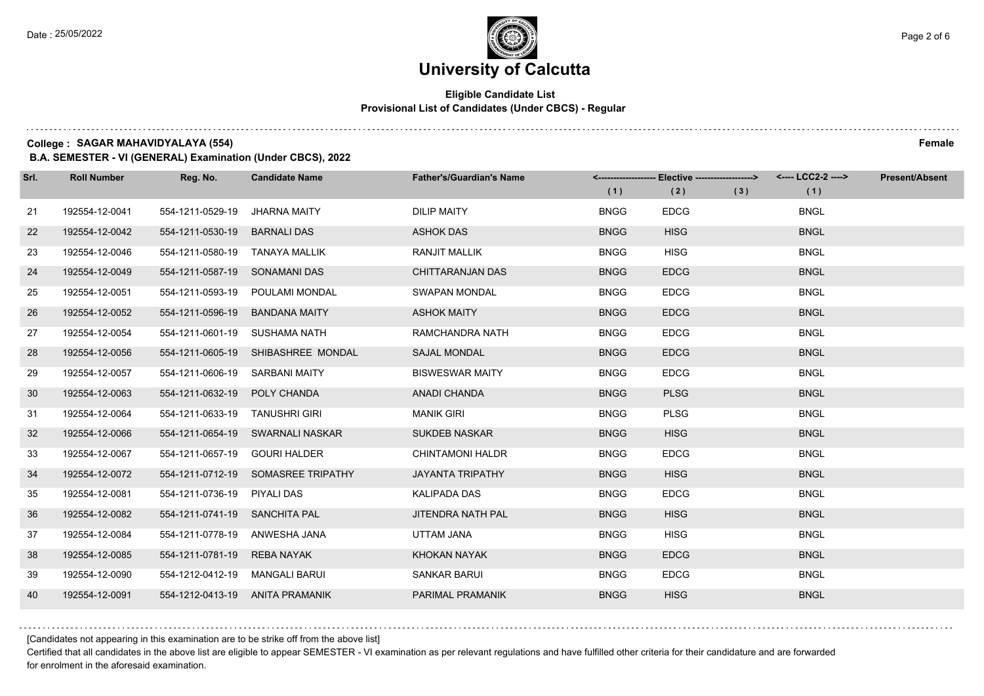#### **Eligible Candidate List Provisional List of Candidates (Under CBCS) - Regular**

**College : SAGAR MAHAVIDYALAYA (554) Female**

**B.A. SEMESTER - VI (GENERAL) Examination (Under CBCS), 2022**

| Srl. | <b>Roll Number</b> | Reg. No.                       | <b>Candidate Name</b>              | <b>Father's/Guardian's Name</b> | (1)         | <-------------------- Elective -------------------><br>(2) | (3) | (1)         | <b>Present/Absent</b> |
|------|--------------------|--------------------------------|------------------------------------|---------------------------------|-------------|------------------------------------------------------------|-----|-------------|-----------------------|
| 21   | 192554-12-0041     | 554-1211-0529-19               | <b>JHARNA MAITY</b>                | <b>DILIP MAITY</b>              | <b>BNGG</b> | <b>EDCG</b>                                                |     | <b>BNGL</b> |                       |
| 22   | 192554-12-0042     | 554-1211-0530-19               | <b>BARNALI DAS</b>                 | <b>ASHOK DAS</b>                | <b>BNGG</b> | <b>HISG</b>                                                |     | <b>BNGL</b> |                       |
| 23   | 192554-12-0046     | 554-1211-0580-19 TANAYA MALLIK |                                    | <b>RANJIT MALLIK</b>            | <b>BNGG</b> | <b>HISG</b>                                                |     | <b>BNGL</b> |                       |
| 24   | 192554-12-0049     | 554-1211-0587-19 SONAMANI DAS  |                                    | CHITTARANJAN DAS                | <b>BNGG</b> | <b>EDCG</b>                                                |     | <b>BNGL</b> |                       |
| 25   | 192554-12-0051     |                                | 554-1211-0593-19 POULAMI MONDAL    | <b>SWAPAN MONDAL</b>            | <b>BNGG</b> | <b>EDCG</b>                                                |     | <b>BNGL</b> |                       |
| 26   | 192554-12-0052     | 554-1211-0596-19               | <b>BANDANA MAITY</b>               | <b>ASHOK MAITY</b>              | <b>BNGG</b> | <b>EDCG</b>                                                |     | <b>BNGL</b> |                       |
| 27   | 192554-12-0054     | 554-1211-0601-19 SUSHAMA NATH  |                                    | RAMCHANDRA NATH                 | <b>BNGG</b> | <b>EDCG</b>                                                |     | <b>BNGL</b> |                       |
| 28   | 192554-12-0056     |                                | 554-1211-0605-19 SHIBASHREE MONDAL | <b>SAJAL MONDAL</b>             | <b>BNGG</b> | <b>EDCG</b>                                                |     | <b>BNGL</b> |                       |
| 29   | 192554-12-0057     | 554-1211-0606-19 SARBANI MAITY |                                    | <b>BISWESWAR MAITY</b>          | <b>BNGG</b> | <b>EDCG</b>                                                |     | <b>BNGL</b> |                       |
| 30   | 192554-12-0063     | 554-1211-0632-19 POLY CHANDA   |                                    | ANADI CHANDA                    | <b>BNGG</b> | <b>PLSG</b>                                                |     | <b>BNGL</b> |                       |
| 31   | 192554-12-0064     | 554-1211-0633-19 TANUSHRI GIRI |                                    | <b>MANIK GIRI</b>               | <b>BNGG</b> | <b>PLSG</b>                                                |     | <b>BNGL</b> |                       |
| 32   | 192554-12-0066     |                                | 554-1211-0654-19 SWARNALI NASKAR   | <b>SUKDEB NASKAR</b>            | <b>BNGG</b> | <b>HISG</b>                                                |     | <b>BNGL</b> |                       |
| 33   | 192554-12-0067     | 554-1211-0657-19 GOURI HALDER  |                                    | <b>CHINTAMONI HALDR</b>         | <b>BNGG</b> | <b>EDCG</b>                                                |     | <b>BNGL</b> |                       |
| 34   | 192554-12-0072     |                                | 554-1211-0712-19 SOMASREE TRIPATHY | <b>JAYANTA TRIPATHY</b>         | <b>BNGG</b> | <b>HISG</b>                                                |     | <b>BNGL</b> |                       |
| 35   | 192554-12-0081     | 554-1211-0736-19 PIYALI DAS    |                                    | KALIPADA DAS                    | <b>BNGG</b> | <b>EDCG</b>                                                |     | <b>BNGL</b> |                       |
| 36   | 192554-12-0082     | 554-1211-0741-19 SANCHITA PAL  |                                    | JITENDRA NATH PAL               | <b>BNGG</b> | <b>HISG</b>                                                |     | <b>BNGL</b> |                       |
| 37   | 192554-12-0084     | 554-1211-0778-19               | ANWESHA JANA                       | UTTAM JANA                      | <b>BNGG</b> | <b>HISG</b>                                                |     | <b>BNGL</b> |                       |
| 38   | 192554-12-0085     | 554-1211-0781-19 REBA NAYAK    |                                    | KHOKAN NAYAK                    | <b>BNGG</b> | <b>EDCG</b>                                                |     | <b>BNGL</b> |                       |
| 39   | 192554-12-0090     | 554-1212-0412-19 MANGALI BARUI |                                    | <b>SANKAR BARUI</b>             | <b>BNGG</b> | <b>EDCG</b>                                                |     | <b>BNGL</b> |                       |
| 40   | 192554-12-0091     |                                | 554-1212-0413-19 ANITA PRAMANIK    | PARIMAL PRAMANIK                | <b>BNGG</b> | <b>HISG</b>                                                |     | <b>BNGL</b> |                       |

[Candidates not appearing in this examination are to be strike off from the above list]

Certified that all candidates in the above list are eligible to appear SEMESTER - VI examination as per relevant regulations and have fulfilled other criteria for their candidature and are forwarded for enrolment in the aforesaid examination.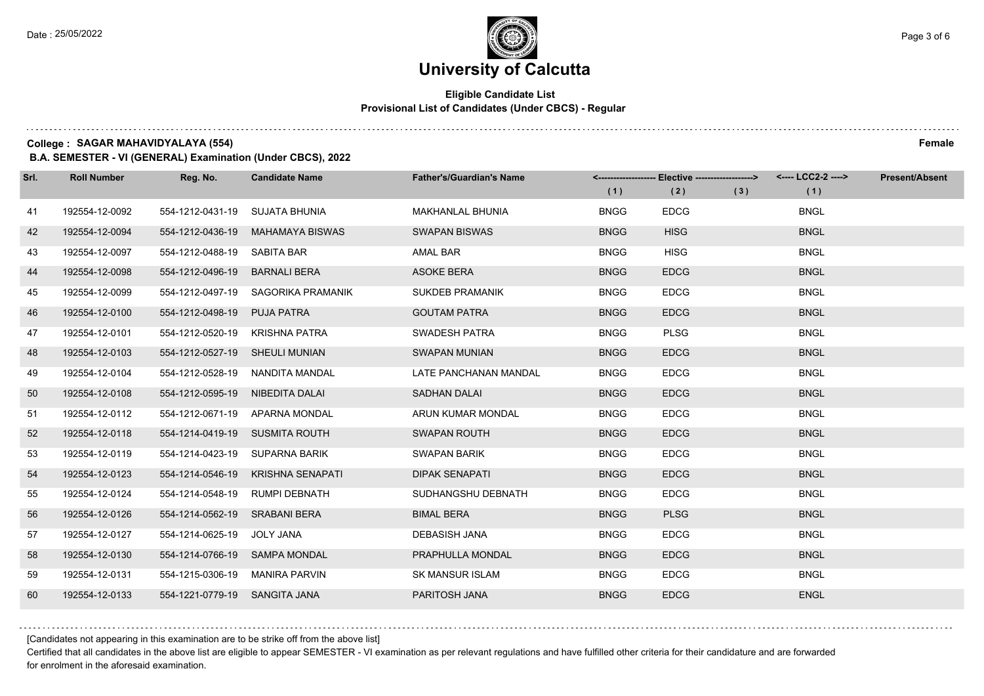#### **Eligible Candidate List Provisional List of Candidates (Under CBCS) - Regular**

**College : SAGAR MAHAVIDYALAYA (554) Female**

**B.A. SEMESTER - VI (GENERAL) Examination (Under CBCS), 2022**

| Srl. | <b>Roll Number</b> | Reg. No.                        | <b>Candidate Name</b>           | <b>Father's/Guardian's Name</b> | (1)         | <-------------------- Elective -------------------><br>(2) | (3) | (1)         | <b>Present/Absent</b> |
|------|--------------------|---------------------------------|---------------------------------|---------------------------------|-------------|------------------------------------------------------------|-----|-------------|-----------------------|
| 41   | 192554-12-0092     | 554-1212-0431-19                | SUJATA BHUNIA                   | <b>MAKHANLAL BHUNIA</b>         | <b>BNGG</b> | <b>EDCG</b>                                                |     | <b>BNGL</b> |                       |
| 42   | 192554-12-0094     | 554-1212-0436-19                | MAHAMAYA BISWAS                 | <b>SWAPAN BISWAS</b>            | <b>BNGG</b> | <b>HISG</b>                                                |     | <b>BNGL</b> |                       |
| 43   | 192554-12-0097     | 554-1212-0488-19 SABITA BAR     |                                 | AMAL BAR                        | <b>BNGG</b> | <b>HISG</b>                                                |     | <b>BNGL</b> |                       |
| 44   | 192554-12-0098     | 554-1212-0496-19                | BARNALI BERA                    | <b>ASOKE BERA</b>               | <b>BNGG</b> | <b>EDCG</b>                                                |     | <b>BNGL</b> |                       |
| 45   | 192554-12-0099     | 554-1212-0497-19                | SAGORIKA PRAMANIK               | <b>SUKDEB PRAMANIK</b>          | <b>BNGG</b> | <b>EDCG</b>                                                |     | <b>BNGL</b> |                       |
| 46   | 192554-12-0100     | 554-1212-0498-19                | <b>PUJA PATRA</b>               | <b>GOUTAM PATRA</b>             | <b>BNGG</b> | <b>EDCG</b>                                                |     | <b>BNGL</b> |                       |
| 47   | 192554-12-0101     | 554-1212-0520-19 KRISHNA PATRA  |                                 | SWADESH PATRA                   | <b>BNGG</b> | <b>PLSG</b>                                                |     | <b>BNGL</b> |                       |
| 48   | 192554-12-0103     | 554-1212-0527-19 SHEULI MUNIAN  |                                 | <b>SWAPAN MUNIAN</b>            | <b>BNGG</b> | <b>EDCG</b>                                                |     | <b>BNGL</b> |                       |
| 49   | 192554-12-0104     |                                 | 554-1212-0528-19 NANDITA MANDAL | LATE PANCHANAN MANDAL           | <b>BNGG</b> | <b>EDCG</b>                                                |     | <b>BNGL</b> |                       |
| 50   | 192554-12-0108     | 554-1212-0595-19 NIBEDITA DALAI |                                 | <b>SADHAN DALAI</b>             | <b>BNGG</b> | <b>EDCG</b>                                                |     | <b>BNGL</b> |                       |
| 51   | 192554-12-0112     |                                 | 554-1212-0671-19 APARNA MONDAL  | ARUN KUMAR MONDAL               | <b>BNGG</b> | <b>EDCG</b>                                                |     | <b>BNGL</b> |                       |
| 52   | 192554-12-0118     | 554-1214-0419-19 SUSMITA ROUTH  |                                 | <b>SWAPAN ROUTH</b>             | <b>BNGG</b> | <b>EDCG</b>                                                |     | <b>BNGL</b> |                       |
| 53   | 192554-12-0119     | 554-1214-0423-19 SUPARNA BARIK  |                                 | SWAPAN BARIK                    | <b>BNGG</b> | <b>EDCG</b>                                                |     | <b>BNGL</b> |                       |
| 54   | 192554-12-0123     | 554-1214-0546-19                | <b>KRISHNA SENAPATI</b>         | <b>DIPAK SENAPATI</b>           | <b>BNGG</b> | <b>EDCG</b>                                                |     | <b>BNGL</b> |                       |
| 55   | 192554-12-0124     | 554-1214-0548-19                | RUMPI DEBNATH                   | SUDHANGSHU DEBNATH              | <b>BNGG</b> | <b>EDCG</b>                                                |     | <b>BNGL</b> |                       |
| 56   | 192554-12-0126     | 554-1214-0562-19 SRABANI BERA   |                                 | <b>BIMAL BERA</b>               | <b>BNGG</b> | <b>PLSG</b>                                                |     | <b>BNGL</b> |                       |
| 57   | 192554-12-0127     | 554-1214-0625-19                | <b>JOLY JANA</b>                | <b>DEBASISH JANA</b>            | <b>BNGG</b> | <b>EDCG</b>                                                |     | <b>BNGL</b> |                       |
| 58   | 192554-12-0130     | 554-1214-0766-19 SAMPA MONDAL   |                                 | PRAPHULLA MONDAL                | <b>BNGG</b> | <b>EDCG</b>                                                |     | <b>BNGL</b> |                       |
| 59   | 192554-12-0131     | 554-1215-0306-19                | MANIRA PARVIN                   | <b>SK MANSUR ISLAM</b>          | <b>BNGG</b> | <b>EDCG</b>                                                |     | <b>BNGL</b> |                       |
| 60   | 192554-12-0133     | 554-1221-0779-19 SANGITA JANA   |                                 | PARITOSH JANA                   | <b>BNGG</b> | <b>EDCG</b>                                                |     | <b>ENGL</b> |                       |

[Candidates not appearing in this examination are to be strike off from the above list]

Certified that all candidates in the above list are eligible to appear SEMESTER - VI examination as per relevant regulations and have fulfilled other criteria for their candidature and are forwarded for enrolment in the aforesaid examination.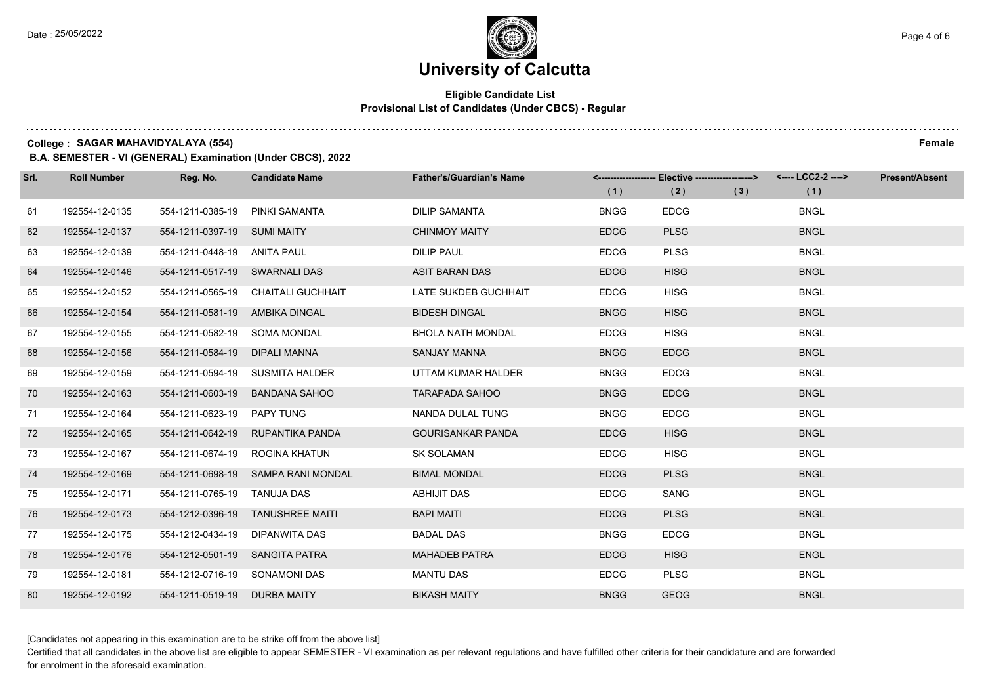#### **Eligible Candidate List Provisional List of Candidates (Under CBCS) - Regular**

**College : SAGAR MAHAVIDYALAYA (554) Female**

**B.A. SEMESTER - VI (GENERAL) Examination (Under CBCS), 2022**

| Srl. | <b>Roll Number</b> | Reg. No.                       | <b>Candidate Name</b>              | <b>Father's/Guardian's Name</b> | (1)         | <------------------- Elective ------------------><br>(2) | (3) | (1)         | <b>Present/Absent</b> |
|------|--------------------|--------------------------------|------------------------------------|---------------------------------|-------------|----------------------------------------------------------|-----|-------------|-----------------------|
| 61   | 192554-12-0135     | 554-1211-0385-19               | PINKI SAMANTA                      | <b>DILIP SAMANTA</b>            | <b>BNGG</b> | <b>EDCG</b>                                              |     | <b>BNGL</b> |                       |
| 62   | 192554-12-0137     | 554-1211-0397-19 SUMI MAITY    |                                    | <b>CHINMOY MAITY</b>            | <b>EDCG</b> | <b>PLSG</b>                                              |     | <b>BNGL</b> |                       |
| 63   | 192554-12-0139     | 554-1211-0448-19 ANITA PAUL    |                                    | <b>DILIP PAUL</b>               | <b>EDCG</b> | <b>PLSG</b>                                              |     | <b>BNGL</b> |                       |
| 64   | 192554-12-0146     | 554-1211-0517-19 SWARNALI DAS  |                                    | <b>ASIT BARAN DAS</b>           | <b>EDCG</b> | <b>HISG</b>                                              |     | <b>BNGL</b> |                       |
| 65   | 192554-12-0152     |                                | 554-1211-0565-19 CHAITALI GUCHHAIT | LATE SUKDEB GUCHHAIT            | <b>EDCG</b> | <b>HISG</b>                                              |     | <b>BNGL</b> |                       |
| 66   | 192554-12-0154     | 554-1211-0581-19 AMBIKA DINGAL |                                    | <b>BIDESH DINGAL</b>            | <b>BNGG</b> | <b>HISG</b>                                              |     | <b>BNGL</b> |                       |
| 67   | 192554-12-0155     | 554-1211-0582-19 SOMA MONDAL   |                                    | <b>BHOLA NATH MONDAL</b>        | <b>EDCG</b> | <b>HISG</b>                                              |     | <b>BNGL</b> |                       |
| 68   | 192554-12-0156     | 554-1211-0584-19 DIPALI MANNA  |                                    | <b>SANJAY MANNA</b>             | <b>BNGG</b> | <b>EDCG</b>                                              |     | <b>BNGL</b> |                       |
| 69   | 192554-12-0159     |                                | 554-1211-0594-19 SUSMITA HALDER    | UTTAM KUMAR HALDER              | <b>BNGG</b> | <b>EDCG</b>                                              |     | <b>BNGL</b> |                       |
| 70   | 192554-12-0163     | 554-1211-0603-19               | <b>BANDANA SAHOO</b>               | <b>TARAPADA SAHOO</b>           | <b>BNGG</b> | <b>EDCG</b>                                              |     | <b>BNGL</b> |                       |
| 71   | 192554-12-0164     | 554-1211-0623-19 PAPY TUNG     |                                    | NANDA DULAL TUNG                | <b>BNGG</b> | <b>EDCG</b>                                              |     | <b>BNGL</b> |                       |
| 72   | 192554-12-0165     | 554-1211-0642-19               | RUPANTIKA PANDA                    | <b>GOURISANKAR PANDA</b>        | <b>EDCG</b> | <b>HISG</b>                                              |     | <b>BNGL</b> |                       |
| 73   | 192554-12-0167     | 554-1211-0674-19               | ROGINA KHATUN                      | <b>SK SOLAMAN</b>               | <b>EDCG</b> | <b>HISG</b>                                              |     | <b>BNGL</b> |                       |
| 74   | 192554-12-0169     |                                | 554-1211-0698-19 SAMPA RANI MONDAL | <b>BIMAL MONDAL</b>             | <b>EDCG</b> | <b>PLSG</b>                                              |     | <b>BNGL</b> |                       |
| 75   | 192554-12-0171     | 554-1211-0765-19 TANUJA DAS    |                                    | ABHIJIT DAS                     | <b>EDCG</b> | SANG                                                     |     | <b>BNGL</b> |                       |
| 76   | 192554-12-0173     |                                | 554-1212-0396-19 TANUSHREE MAITI   | <b>BAPI MAITI</b>               | <b>EDCG</b> | <b>PLSG</b>                                              |     | <b>BNGL</b> |                       |
| 77   | 192554-12-0175     | 554-1212-0434-19               | DIPANWITA DAS                      | <b>BADAL DAS</b>                | <b>BNGG</b> | <b>EDCG</b>                                              |     | <b>BNGL</b> |                       |
| 78   | 192554-12-0176     | 554-1212-0501-19 SANGITA PATRA |                                    | <b>MAHADEB PATRA</b>            | <b>EDCG</b> | <b>HISG</b>                                              |     | <b>ENGL</b> |                       |
| 79   | 192554-12-0181     | 554-1212-0716-19 SONAMONI DAS  |                                    | <b>MANTU DAS</b>                | <b>EDCG</b> | <b>PLSG</b>                                              |     | <b>BNGL</b> |                       |
| 80   | 192554-12-0192     | 554-1211-0519-19               | <b>DURBA MAITY</b>                 | <b>BIKASH MAITY</b>             | <b>BNGG</b> | <b>GEOG</b>                                              |     | <b>BNGL</b> |                       |

[Candidates not appearing in this examination are to be strike off from the above list]

Certified that all candidates in the above list are eligible to appear SEMESTER - VI examination as per relevant regulations and have fulfilled other criteria for their candidature and are forwarded for enrolment in the aforesaid examination.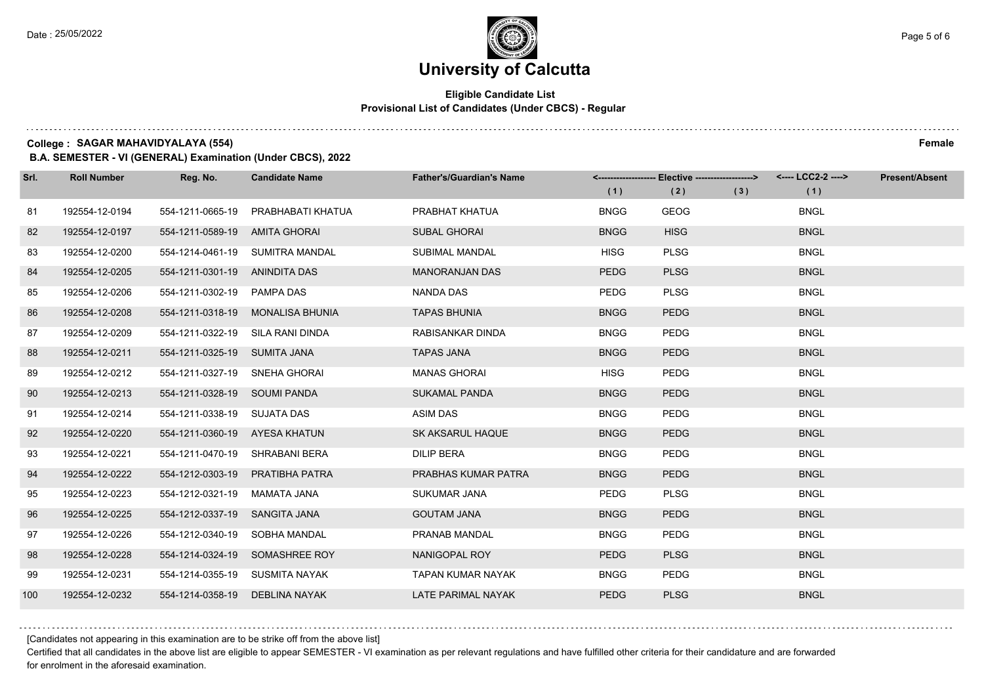#### **Eligible Candidate List Provisional List of Candidates (Under CBCS) - Regular**

**College : SAGAR MAHAVIDYALAYA (554) Female**

**B.A. SEMESTER - VI (GENERAL) Examination (Under CBCS), 2022**

| Srl. | <b>Roll Number</b> | Reg. No.                         | <b>Candidate Name</b>           | <b>Father's/Guardian's Name</b> | (1)         | <-------------------- Elective -------------------><br>(2) | (3) | <---- LCC2-2 ----><br>(1) | <b>Present/Absent</b> |
|------|--------------------|----------------------------------|---------------------------------|---------------------------------|-------------|------------------------------------------------------------|-----|---------------------------|-----------------------|
| 81   | 192554-12-0194     | 554-1211-0665-19                 | PRABHABATI KHATUA               | PRABHAT KHATUA                  | <b>BNGG</b> | <b>GEOG</b>                                                |     | <b>BNGL</b>               |                       |
| 82   | 192554-12-0197     | 554-1211-0589-19 AMITA GHORAI    |                                 | <b>SUBAL GHORAI</b>             | <b>BNGG</b> | <b>HISG</b>                                                |     | <b>BNGL</b>               |                       |
| 83   | 192554-12-0200     |                                  | 554-1214-0461-19 SUMITRA MANDAL | <b>SUBIMAL MANDAL</b>           | <b>HISG</b> | <b>PLSG</b>                                                |     | <b>BNGL</b>               |                       |
| 84   | 192554-12-0205     | 554-1211-0301-19 ANINDITA DAS    |                                 | <b>MANORANJAN DAS</b>           | <b>PEDG</b> | <b>PLSG</b>                                                |     | <b>BNGL</b>               |                       |
| 85   | 192554-12-0206     | 554-1211-0302-19 PAMPA DAS       |                                 | <b>NANDA DAS</b>                | <b>PEDG</b> | <b>PLSG</b>                                                |     | <b>BNGL</b>               |                       |
| 86   | 192554-12-0208     | 554-1211-0318-19                 | <b>MONALISA BHUNIA</b>          | <b>TAPAS BHUNIA</b>             | <b>BNGG</b> | <b>PEDG</b>                                                |     | <b>BNGL</b>               |                       |
| 87   | 192554-12-0209     | 554-1211-0322-19 SILA RANI DINDA |                                 | RABISANKAR DINDA                | <b>BNGG</b> | <b>PEDG</b>                                                |     | <b>BNGL</b>               |                       |
| 88   | 192554-12-0211     | 554-1211-0325-19 SUMITA JANA     |                                 | <b>TAPAS JANA</b>               | <b>BNGG</b> | <b>PEDG</b>                                                |     | <b>BNGL</b>               |                       |
| 89   | 192554-12-0212     | 554-1211-0327-19 SNEHA GHORAI    |                                 | <b>MANAS GHORAI</b>             | <b>HISG</b> | <b>PEDG</b>                                                |     | <b>BNGL</b>               |                       |
| 90   | 192554-12-0213     | 554-1211-0328-19 SOUMI PANDA     |                                 | <b>SUKAMAL PANDA</b>            | <b>BNGG</b> | <b>PEDG</b>                                                |     | <b>BNGL</b>               |                       |
| 91   | 192554-12-0214     | 554-1211-0338-19 SUJATA DAS      |                                 | ASIM DAS                        | <b>BNGG</b> | <b>PEDG</b>                                                |     | <b>BNGL</b>               |                       |
| 92   | 192554-12-0220     | 554-1211-0360-19 AYESA KHATUN    |                                 | SK AKSARUL HAQUE                | <b>BNGG</b> | <b>PEDG</b>                                                |     | <b>BNGL</b>               |                       |
| 93   | 192554-12-0221     | 554-1211-0470-19 SHRABANI BERA   |                                 | <b>DILIP BERA</b>               | <b>BNGG</b> | <b>PEDG</b>                                                |     | <b>BNGL</b>               |                       |
| 94   | 192554-12-0222     |                                  | 554-1212-0303-19 PRATIBHA PATRA | PRABHAS KUMAR PATRA             | <b>BNGG</b> | <b>PEDG</b>                                                |     | <b>BNGL</b>               |                       |
| 95   | 192554-12-0223     | 554-1212-0321-19 MAMATA JANA     |                                 | SUKUMAR JANA                    | <b>PEDG</b> | <b>PLSG</b>                                                |     | <b>BNGL</b>               |                       |
| 96   | 192554-12-0225     | 554-1212-0337-19 SANGITA JANA    |                                 | <b>GOUTAM JANA</b>              | <b>BNGG</b> | <b>PEDG</b>                                                |     | <b>BNGL</b>               |                       |
| 97   | 192554-12-0226     | 554-1212-0340-19                 | SOBHA MANDAL                    | PRANAB MANDAL                   | <b>BNGG</b> | <b>PEDG</b>                                                |     | <b>BNGL</b>               |                       |
| 98   | 192554-12-0228     |                                  | 554-1214-0324-19 SOMASHREE ROY  | NANIGOPAL ROY                   | PEDG        | <b>PLSG</b>                                                |     | <b>BNGL</b>               |                       |
| 99   | 192554-12-0231     | 554-1214-0355-19 SUSMITA NAYAK   |                                 | <b>TAPAN KUMAR NAYAK</b>        | <b>BNGG</b> | <b>PEDG</b>                                                |     | <b>BNGL</b>               |                       |
| 100  | 192554-12-0232     | 554-1214-0358-19 DEBLINA NAYAK   |                                 | <b>LATE PARIMAL NAYAK</b>       | <b>PEDG</b> | <b>PLSG</b>                                                |     | <b>BNGL</b>               |                       |

[Candidates not appearing in this examination are to be strike off from the above list]

Certified that all candidates in the above list are eligible to appear SEMESTER - VI examination as per relevant regulations and have fulfilled other criteria for their candidature and are forwarded for enrolment in the aforesaid examination.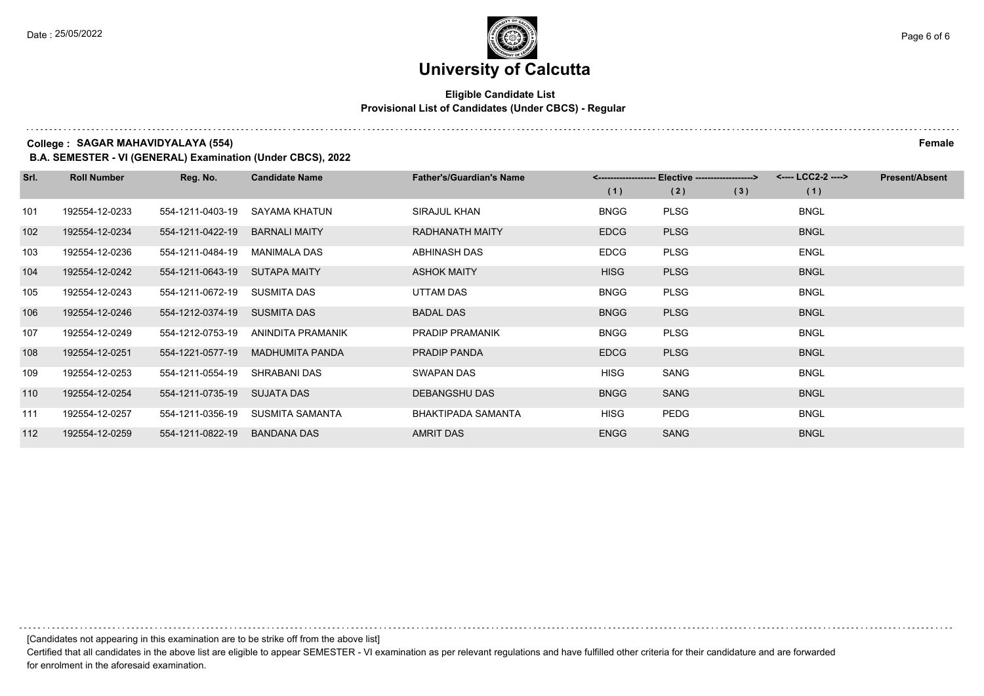#### **Eligible Candidate List Provisional List of Candidates (Under CBCS) - Regular**

**College : SAGAR MAHAVIDYALAYA (554) Female**

**B.A. SEMESTER - VI (GENERAL) Examination (Under CBCS), 2022**

| Srl. | <b>Roll Number</b> | Reg. No.         | <b>Candidate Name</b>  | <b>Father's/Guardian's Name</b> |             | <------------------- Elective ------------------> | <---- LCC2-2 ----> | <b>Present/Absent</b> |
|------|--------------------|------------------|------------------------|---------------------------------|-------------|---------------------------------------------------|--------------------|-----------------------|
|      |                    |                  |                        |                                 | (1)         | (2)<br>(3)                                        | (1)                |                       |
| 101  | 192554-12-0233     | 554-1211-0403-19 | SAYAMA KHATUN          | SIRAJUL KHAN                    | <b>BNGG</b> | <b>PLSG</b>                                       | <b>BNGL</b>        |                       |
| 102  | 192554-12-0234     | 554-1211-0422-19 | <b>BARNALI MAITY</b>   | <b>RADHANATH MAITY</b>          | <b>EDCG</b> | <b>PLSG</b>                                       | <b>BNGL</b>        |                       |
| 103  | 192554-12-0236     | 554-1211-0484-19 | <b>MANIMALA DAS</b>    | ABHINASH DAS                    | <b>EDCG</b> | <b>PLSG</b>                                       | <b>ENGL</b>        |                       |
| 104  | 192554-12-0242     | 554-1211-0643-19 | <b>SUTAPA MAITY</b>    | <b>ASHOK MAITY</b>              | <b>HISG</b> | <b>PLSG</b>                                       | <b>BNGL</b>        |                       |
| 105  | 192554-12-0243     | 554-1211-0672-19 | SUSMITA DAS            | UTTAM DAS                       | <b>BNGG</b> | <b>PLSG</b>                                       | <b>BNGL</b>        |                       |
| 106  | 192554-12-0246     | 554-1212-0374-19 | SUSMITA DAS            | <b>BADAL DAS</b>                | <b>BNGG</b> | <b>PLSG</b>                                       | <b>BNGL</b>        |                       |
| 107  | 192554-12-0249     | 554-1212-0753-19 | ANINDITA PRAMANIK      | <b>PRADIP PRAMANIK</b>          | <b>BNGG</b> | <b>PLSG</b>                                       | <b>BNGL</b>        |                       |
| 108  | 192554-12-0251     | 554-1221-0577-19 | <b>MADHUMITA PANDA</b> | PRADIP PANDA                    | <b>EDCG</b> | <b>PLSG</b>                                       | <b>BNGL</b>        |                       |
| 109  | 192554-12-0253     | 554-1211-0554-19 | SHRABANI DAS           | SWAPAN DAS                      | <b>HISG</b> | SANG                                              | <b>BNGL</b>        |                       |
| 110  | 192554-12-0254     | 554-1211-0735-19 | <b>SUJATA DAS</b>      | DEBANGSHU DAS                   | <b>BNGG</b> | SANG                                              | <b>BNGL</b>        |                       |
| 111  | 192554-12-0257     | 554-1211-0356-19 | <b>SUSMITA SAMANTA</b> | BHAKTIPADA SAMANTA              | <b>HISG</b> | <b>PEDG</b>                                       | <b>BNGL</b>        |                       |
| 112  | 192554-12-0259     | 554-1211-0822-19 | <b>BANDANA DAS</b>     | <b>AMRIT DAS</b>                | <b>ENGG</b> | <b>SANG</b>                                       | <b>BNGL</b>        |                       |

[Candidates not appearing in this examination are to be strike off from the above list]

Certified that all candidates in the above list are eligible to appear SEMESTER - VI examination as per relevant regulations and have fulfilled other criteria for their candidature and are forwarded for enrolment in the aforesaid examination.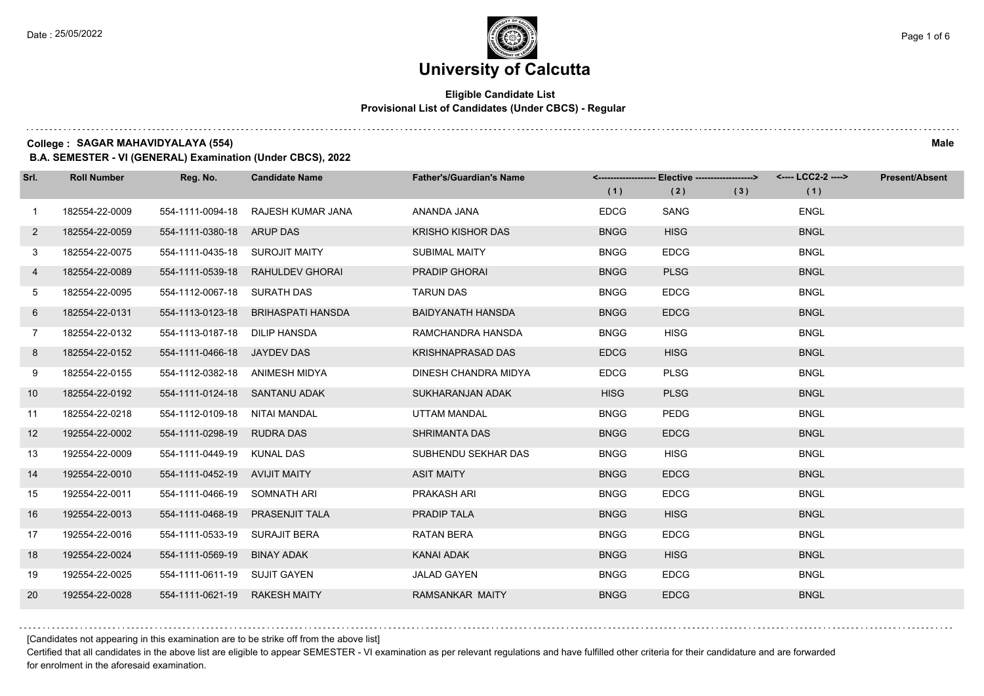#### **Eligible Candidate List Provisional List of Candidates (Under CBCS) - Regular**

**College : SAGAR MAHAVIDYALAYA (554) Male**

**B.A. SEMESTER - VI (GENERAL) Examination (Under CBCS), 2022**

| Srl.         | <b>Roll Number</b> | Reg. No.                       | <b>Candidate Name</b>            | <b>Father's/Guardian's Name</b> | (1)         | <------------------- Elective ------------------><br>(2) | (3) | (1)         | <b>Present/Absent</b> |
|--------------|--------------------|--------------------------------|----------------------------------|---------------------------------|-------------|----------------------------------------------------------|-----|-------------|-----------------------|
| $\mathbf{1}$ | 182554-22-0009     | 554-1111-0094-18               | RAJESH KUMAR JANA                | ANANDA JANA                     | <b>EDCG</b> | SANG                                                     |     | <b>ENGL</b> |                       |
| $2^{\circ}$  | 182554-22-0059     | 554-1111-0380-18 ARUP DAS      |                                  | <b>KRISHO KISHOR DAS</b>        | <b>BNGG</b> | <b>HISG</b>                                              |     | <b>BNGL</b> |                       |
| 3            | 182554-22-0075     | 554-1111-0435-18 SUROJIT MAITY |                                  | SUBIMAL MAITY                   | <b>BNGG</b> | <b>EDCG</b>                                              |     | <b>BNGL</b> |                       |
| 4            | 182554-22-0089     |                                | 554-1111-0539-18 RAHULDEV GHORAI | <b>PRADIP GHORAI</b>            | <b>BNGG</b> | <b>PLSG</b>                                              |     | <b>BNGL</b> |                       |
| 5            | 182554-22-0095     | 554-1112-0067-18 SURATH DAS    |                                  | <b>TARUN DAS</b>                | <b>BNGG</b> | <b>EDCG</b>                                              |     | <b>BNGL</b> |                       |
| 6            | 182554-22-0131     | 554-1113-0123-18               | <b>BRIHASPATI HANSDA</b>         | <b>BAIDYANATH HANSDA</b>        | <b>BNGG</b> | <b>EDCG</b>                                              |     | <b>BNGL</b> |                       |
| $7^{\circ}$  | 182554-22-0132     | 554-1113-0187-18 DILIP HANSDA  |                                  | RAMCHANDRA HANSDA               | <b>BNGG</b> | <b>HISG</b>                                              |     | <b>BNGL</b> |                       |
| 8            | 182554-22-0152     | 554-1111-0466-18 JAYDEV DAS    |                                  | <b>KRISHNAPRASAD DAS</b>        | <b>EDCG</b> | <b>HISG</b>                                              |     | <b>BNGL</b> |                       |
| 9            | 182554-22-0155     | 554-1112-0382-18 ANIMESH MIDYA |                                  | DINESH CHANDRA MIDYA            | <b>EDCG</b> | <b>PLSG</b>                                              |     | <b>BNGL</b> |                       |
| 10           | 182554-22-0192     | 554-1111-0124-18 SANTANU ADAK  |                                  | SUKHARANJAN ADAK                | <b>HISG</b> | <b>PLSG</b>                                              |     | <b>BNGL</b> |                       |
| 11           | 182554-22-0218     | 554-1112-0109-18 NITAI MANDAL  |                                  | UTTAM MANDAL                    | <b>BNGG</b> | PEDG                                                     |     | <b>BNGL</b> |                       |
| 12           | 192554-22-0002     | 554-1111-0298-19               | <b>RUDRA DAS</b>                 | <b>SHRIMANTA DAS</b>            | <b>BNGG</b> | <b>EDCG</b>                                              |     | <b>BNGL</b> |                       |
| 13           | 192554-22-0009     | 554-1111-0449-19               | KUNAL DAS                        | SUBHENDU SEKHAR DAS             | <b>BNGG</b> | <b>HISG</b>                                              |     | <b>BNGL</b> |                       |
| 14           | 192554-22-0010     | 554-1111-0452-19 AVIJIT MAITY  |                                  | <b>ASIT MAITY</b>               | <b>BNGG</b> | <b>EDCG</b>                                              |     | <b>BNGL</b> |                       |
| 15           | 192554-22-0011     | 554-1111-0466-19 SOMNATH ARI   |                                  | PRAKASH ARI                     | <b>BNGG</b> | <b>EDCG</b>                                              |     | <b>BNGL</b> |                       |
| 16           | 192554-22-0013     | 554-1111-0468-19               | <b>PRASENJIT TALA</b>            | PRADIP TALA                     | <b>BNGG</b> | <b>HISG</b>                                              |     | <b>BNGL</b> |                       |
| 17           | 192554-22-0016     | 554-1111-0533-19               | <b>SURAJIT BERA</b>              | <b>RATAN BERA</b>               | <b>BNGG</b> | <b>EDCG</b>                                              |     | <b>BNGL</b> |                       |
| 18           | 192554-22-0024     | 554-1111-0569-19               | <b>BINAY ADAK</b>                | KANAI ADAK                      | <b>BNGG</b> | <b>HISG</b>                                              |     | <b>BNGL</b> |                       |
| 19           | 192554-22-0025     | 554-1111-0611-19 SUJIT GAYEN   |                                  | <b>JALAD GAYEN</b>              | <b>BNGG</b> | <b>EDCG</b>                                              |     | <b>BNGL</b> |                       |
| 20           | 192554-22-0028     | 554-1111-0621-19 RAKESH MAITY  |                                  | RAMSANKAR MAITY                 | <b>BNGG</b> | <b>EDCG</b>                                              |     | <b>BNGL</b> |                       |

[Candidates not appearing in this examination are to be strike off from the above list]

Certified that all candidates in the above list are eligible to appear SEMESTER - VI examination as per relevant regulations and have fulfilled other criteria for their candidature and are forwarded for enrolment in the aforesaid examination.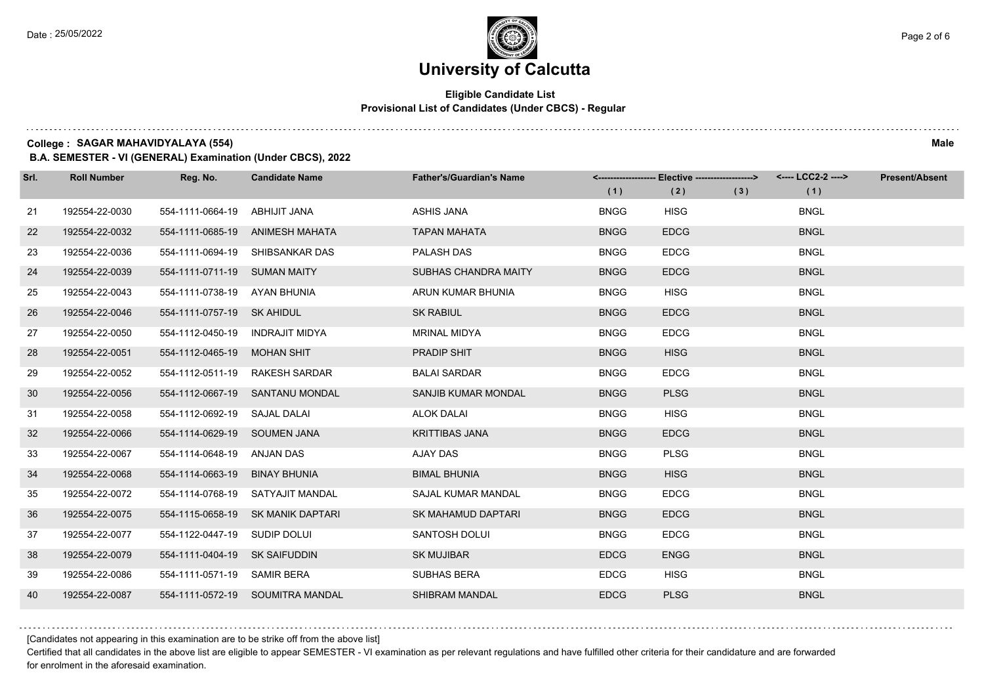#### **Eligible Candidate List Provisional List of Candidates (Under CBCS) - Regular**

**College : SAGAR MAHAVIDYALAYA (554) Male**

**B.A. SEMESTER - VI (GENERAL) Examination (Under CBCS), 2022**

| Srl. | <b>Roll Number</b> | Reg. No.                        | <b>Candidate Name</b>             | <b>Father's/Guardian's Name</b> | (1)         | <------------------- Elective ------------------><br>(2) | (3) | (1)         | <b>Present/Absent</b> |
|------|--------------------|---------------------------------|-----------------------------------|---------------------------------|-------------|----------------------------------------------------------|-----|-------------|-----------------------|
| 21   | 192554-22-0030     | 554-1111-0664-19                | ABHIJIT JANA                      | <b>ASHIS JANA</b>               | <b>BNGG</b> | <b>HISG</b>                                              |     | <b>BNGL</b> |                       |
| 22   | 192554-22-0032     |                                 | 554-1111-0685-19 ANIMESH MAHATA   | <b>TAPAN MAHATA</b>             | <b>BNGG</b> | <b>EDCG</b>                                              |     | <b>BNGL</b> |                       |
| 23   | 192554-22-0036     |                                 | 554-1111-0694-19 SHIBSANKAR DAS   | PALASH DAS                      | <b>BNGG</b> | <b>EDCG</b>                                              |     | <b>BNGL</b> |                       |
| 24   | 192554-22-0039     | 554-1111-0711-19 SUMAN MAITY    |                                   | SUBHAS CHANDRA MAITY            | <b>BNGG</b> | <b>EDCG</b>                                              |     | <b>BNGL</b> |                       |
| 25   | 192554-22-0043     | 554-1111-0738-19 AYAN BHUNIA    |                                   | ARUN KUMAR BHUNIA               | <b>BNGG</b> | <b>HISG</b>                                              |     | <b>BNGL</b> |                       |
| 26   | 192554-22-0046     | 554-1111-0757-19 SK AHIDUL      |                                   | <b>SK RABIUL</b>                | <b>BNGG</b> | <b>EDCG</b>                                              |     | <b>BNGL</b> |                       |
| 27   | 192554-22-0050     | 554-1112-0450-19 INDRAJIT MIDYA |                                   | <b>MRINAL MIDYA</b>             | <b>BNGG</b> | <b>EDCG</b>                                              |     | <b>BNGL</b> |                       |
| 28   | 192554-22-0051     | 554-1112-0465-19 MOHAN SHIT     |                                   | <b>PRADIP SHIT</b>              | <b>BNGG</b> | <b>HISG</b>                                              |     | <b>BNGL</b> |                       |
| 29   | 192554-22-0052     |                                 | 554-1112-0511-19 RAKESH SARDAR    | <b>BALAI SARDAR</b>             | <b>BNGG</b> | <b>EDCG</b>                                              |     | <b>BNGL</b> |                       |
| 30   | 192554-22-0056     |                                 | 554-1112-0667-19 SANTANU MONDAL   | <b>SANJIB KUMAR MONDAL</b>      | <b>BNGG</b> | <b>PLSG</b>                                              |     | <b>BNGL</b> |                       |
| 31   | 192554-22-0058     | 554-1112-0692-19 SAJAL DALAI    |                                   | <b>ALOK DALAI</b>               | <b>BNGG</b> | <b>HISG</b>                                              |     | <b>BNGL</b> |                       |
| 32   | 192554-22-0066     | 554-1114-0629-19 SOUMEN JANA    |                                   | <b>KRITTIBAS JANA</b>           | <b>BNGG</b> | <b>EDCG</b>                                              |     | <b>BNGL</b> |                       |
| 33   | 192554-22-0067     | 554-1114-0648-19 ANJAN DAS      |                                   | AJAY DAS                        | <b>BNGG</b> | <b>PLSG</b>                                              |     | <b>BNGL</b> |                       |
| 34   | 192554-22-0068     | 554-1114-0663-19 BINAY BHUNIA   |                                   | <b>BIMAL BHUNIA</b>             | <b>BNGG</b> | <b>HISG</b>                                              |     | <b>BNGL</b> |                       |
| 35   | 192554-22-0072     |                                 | 554-1114-0768-19 SATYAJIT MANDAL  | <b>SAJAL KUMAR MANDAL</b>       | <b>BNGG</b> | <b>EDCG</b>                                              |     | <b>BNGL</b> |                       |
| 36   | 192554-22-0075     |                                 | 554-1115-0658-19 SK MANIK DAPTARI | SK MAHAMUD DAPTARI              | <b>BNGG</b> | <b>EDCG</b>                                              |     | <b>BNGL</b> |                       |
| 37   | 192554-22-0077     | 554-1122-0447-19 SUDIP DOLUI    |                                   | SANTOSH DOLUI                   | <b>BNGG</b> | <b>EDCG</b>                                              |     | <b>BNGL</b> |                       |
| 38   | 192554-22-0079     | 554-1111-0404-19 SK SAIFUDDIN   |                                   | <b>SK MUJIBAR</b>               | <b>EDCG</b> | <b>ENGG</b>                                              |     | <b>BNGL</b> |                       |
| 39   | 192554-22-0086     | 554-1111-0571-19 SAMIR BERA     |                                   | SUBHAS BERA                     | <b>EDCG</b> | <b>HISG</b>                                              |     | <b>BNGL</b> |                       |
| 40   | 192554-22-0087     |                                 | 554-1111-0572-19 SOUMITRA MANDAL  | SHIBRAM MANDAL                  | <b>EDCG</b> | <b>PLSG</b>                                              |     | <b>BNGL</b> |                       |

[Candidates not appearing in this examination are to be strike off from the above list]

Certified that all candidates in the above list are eligible to appear SEMESTER - VI examination as per relevant regulations and have fulfilled other criteria for their candidature and are forwarded for enrolment in the aforesaid examination.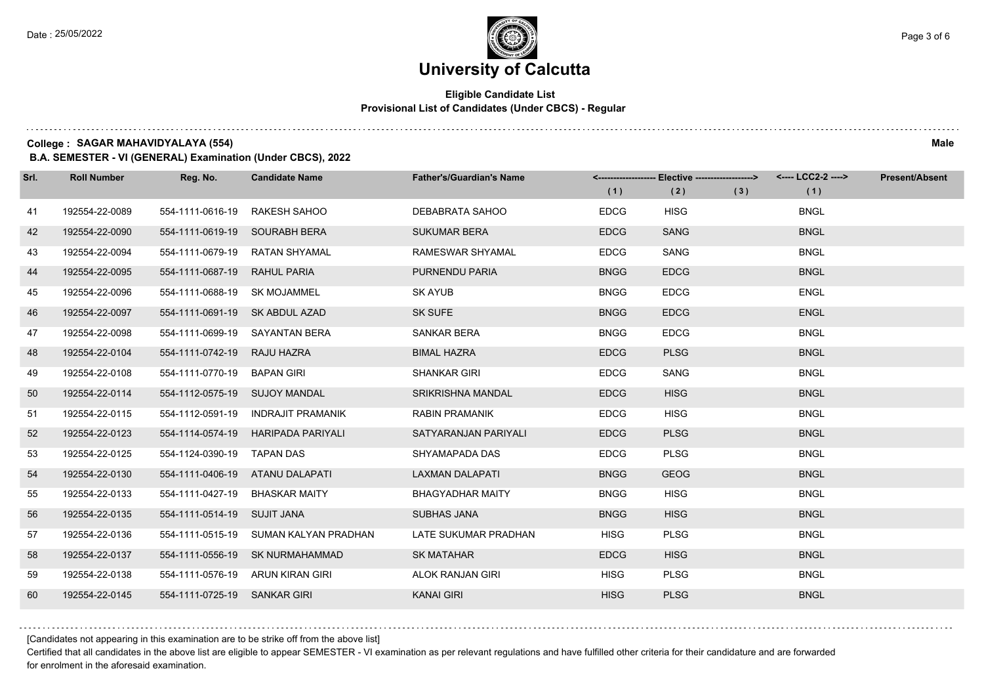#### **Eligible Candidate List Provisional List of Candidates (Under CBCS) - Regular**

**College : SAGAR MAHAVIDYALAYA (554) Male**

**B.A. SEMESTER - VI (GENERAL) Examination (Under CBCS), 2022**

| Srl. | <b>Roll Number</b> | Reg. No.                       | <b>Candidate Name</b>                 | <b>Father's/Guardian's Name</b> | (1)         | <-------------------- Elective -------------------><br>(2) | (3) | <---- LCC2-2 ----><br>(1) | <b>Present/Absent</b> |
|------|--------------------|--------------------------------|---------------------------------------|---------------------------------|-------------|------------------------------------------------------------|-----|---------------------------|-----------------------|
| 41   | 192554-22-0089     | 554-1111-0616-19               | RAKESH SAHOO                          | DEBABRATA SAHOO                 | <b>EDCG</b> | <b>HISG</b>                                                |     | <b>BNGL</b>               |                       |
| 42   | 192554-22-0090     | 554-1111-0619-19 SOURABH BERA  |                                       | <b>SUKUMAR BERA</b>             | <b>EDCG</b> | <b>SANG</b>                                                |     | <b>BNGL</b>               |                       |
| 43   | 192554-22-0094     |                                | 554-1111-0679-19 RATAN SHYAMAL        | RAMESWAR SHYAMAL                | <b>EDCG</b> | SANG                                                       |     | <b>BNGL</b>               |                       |
| 44   | 192554-22-0095     | 554-1111-0687-19 RAHUL PARIA   |                                       | PURNENDU PARIA                  | <b>BNGG</b> | <b>EDCG</b>                                                |     | <b>BNGL</b>               |                       |
| 45   | 192554-22-0096     | 554-1111-0688-19 SK MOJAMMEL   |                                       | <b>SK AYUB</b>                  | <b>BNGG</b> | <b>EDCG</b>                                                |     | <b>ENGL</b>               |                       |
| 46   | 192554-22-0097     | 554-1111-0691-19 SK ABDUL AZAD |                                       | <b>SK SUFE</b>                  | <b>BNGG</b> | <b>EDCG</b>                                                |     | <b>ENGL</b>               |                       |
| 47   | 192554-22-0098     |                                | 554-1111-0699-19 SAYANTAN BERA        | SANKAR BERA                     | <b>BNGG</b> | <b>EDCG</b>                                                |     | <b>BNGL</b>               |                       |
| 48   | 192554-22-0104     | 554-1111-0742-19 RAJU HAZRA    |                                       | <b>BIMAL HAZRA</b>              | <b>EDCG</b> | <b>PLSG</b>                                                |     | <b>BNGL</b>               |                       |
| 49   | 192554-22-0108     | 554-1111-0770-19 BAPAN GIRI    |                                       | <b>SHANKAR GIRI</b>             | <b>EDCG</b> | SANG                                                       |     | <b>BNGL</b>               |                       |
| 50   | 192554-22-0114     | 554-1112-0575-19 SUJOY MANDAL  |                                       | <b>SRIKRISHNA MANDAL</b>        | <b>EDCG</b> | <b>HISG</b>                                                |     | <b>BNGL</b>               |                       |
| 51   | 192554-22-0115     |                                | 554-1112-0591-19 INDRAJIT PRAMANIK    | <b>RABIN PRAMANIK</b>           | <b>EDCG</b> | <b>HISG</b>                                                |     | <b>BNGL</b>               |                       |
| 52   | 192554-22-0123     |                                | 554-1114-0574-19 HARIPADA PARIYALI    | SATYARANJAN PARIYALI            | <b>EDCG</b> | <b>PLSG</b>                                                |     | <b>BNGL</b>               |                       |
| 53   | 192554-22-0125     | 554-1124-0390-19 TAPAN DAS     |                                       | SHYAMAPADA DAS                  | <b>EDCG</b> | <b>PLSG</b>                                                |     | <b>BNGL</b>               |                       |
| 54   | 192554-22-0130     |                                | 554-1111-0406-19 ATANU DALAPATI       | <b>LAXMAN DALAPATI</b>          | <b>BNGG</b> | <b>GEOG</b>                                                |     | <b>BNGL</b>               |                       |
| 55   | 192554-22-0133     | 554-1111-0427-19 BHASKAR MAITY |                                       | <b>BHAGYADHAR MAITY</b>         | <b>BNGG</b> | <b>HISG</b>                                                |     | <b>BNGL</b>               |                       |
| 56   | 192554-22-0135     | 554-1111-0514-19 SUJIT JANA    |                                       | <b>SUBHAS JANA</b>              | <b>BNGG</b> | <b>HISG</b>                                                |     | <b>BNGL</b>               |                       |
| 57   | 192554-22-0136     |                                | 554-1111-0515-19 SUMAN KALYAN PRADHAN | LATE SUKUMAR PRADHAN            | <b>HISG</b> | <b>PLSG</b>                                                |     | <b>BNGL</b>               |                       |
| 58   | 192554-22-0137     |                                | 554-1111-0556-19 SK NURMAHAMMAD       | <b>SK MATAHAR</b>               | <b>EDCG</b> | <b>HISG</b>                                                |     | <b>BNGL</b>               |                       |
| 59   | 192554-22-0138     |                                | 554-1111-0576-19 ARUN KIRAN GIRI      | ALOK RANJAN GIRI                | <b>HISG</b> | <b>PLSG</b>                                                |     | <b>BNGL</b>               |                       |
| 60   | 192554-22-0145     | 554-1111-0725-19 SANKAR GIRI   |                                       | <b>KANAI GIRI</b>               | <b>HISG</b> | <b>PLSG</b>                                                |     | <b>BNGL</b>               |                       |

[Candidates not appearing in this examination are to be strike off from the above list]

Certified that all candidates in the above list are eligible to appear SEMESTER - VI examination as per relevant regulations and have fulfilled other criteria for their candidature and are forwarded for enrolment in the aforesaid examination.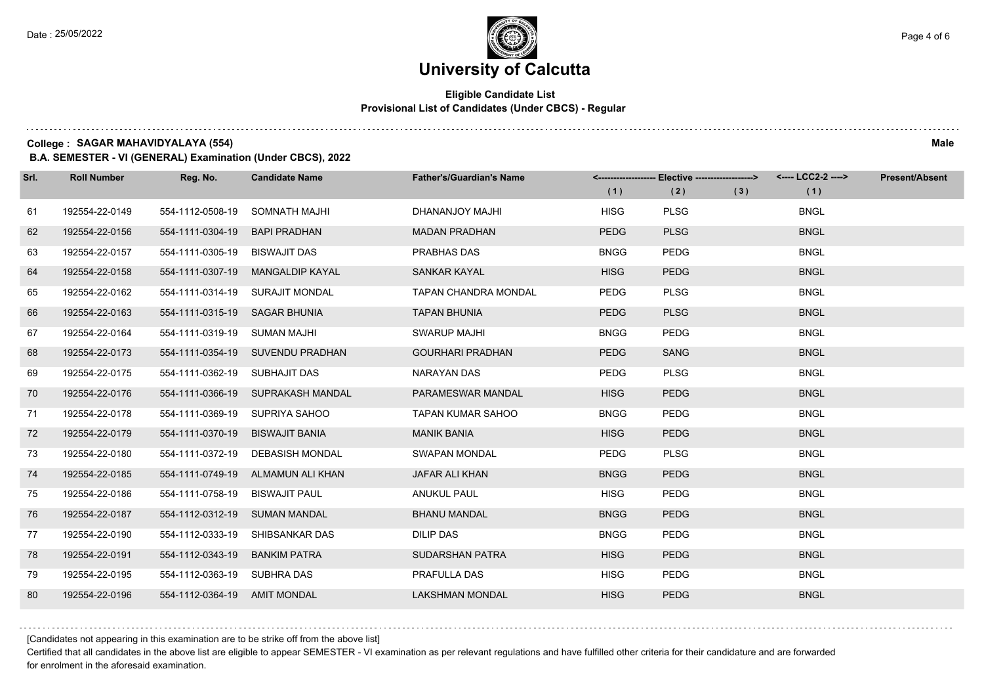#### **Eligible Candidate List Provisional List of Candidates (Under CBCS) - Regular**

**College : SAGAR MAHAVIDYALAYA (554) Male**

**B.A. SEMESTER - VI (GENERAL) Examination (Under CBCS), 2022**

| Srl. | <b>Roll Number</b> | Reg. No.                        | <b>Candidate Name</b>             | <b>Father's/Guardian's Name</b> | (1)         | <-------------------- Elective -------------------><br>(2) | (3) | <---- LCC2-2 ----><br>(1) | <b>Present/Absent</b> |
|------|--------------------|---------------------------------|-----------------------------------|---------------------------------|-------------|------------------------------------------------------------|-----|---------------------------|-----------------------|
| 61   | 192554-22-0149     | 554-1112-0508-19                | SOMNATH MAJHI                     | DHANANJOY MAJHI                 | <b>HISG</b> | <b>PLSG</b>                                                |     | <b>BNGL</b>               |                       |
| 62   | 192554-22-0156     | 554-1111-0304-19                | <b>BAPI PRADHAN</b>               | <b>MADAN PRADHAN</b>            | <b>PEDG</b> | <b>PLSG</b>                                                |     | <b>BNGL</b>               |                       |
| 63   | 192554-22-0157     | 554-1111-0305-19 BISWAJIT DAS   |                                   | PRABHAS DAS                     | <b>BNGG</b> | <b>PEDG</b>                                                |     | <b>BNGL</b>               |                       |
| 64   | 192554-22-0158     |                                 | 554-1111-0307-19 MANGALDIP KAYAL  | SANKAR KAYAL                    | <b>HISG</b> | <b>PEDG</b>                                                |     | <b>BNGL</b>               |                       |
| 65   | 192554-22-0162     |                                 | 554-1111-0314-19 SURAJIT MONDAL   | <b>TAPAN CHANDRA MONDAL</b>     | PEDG        | <b>PLSG</b>                                                |     | <b>BNGL</b>               |                       |
| 66   | 192554-22-0163     | 554-1111-0315-19 SAGAR BHUNIA   |                                   | <b>TAPAN BHUNIA</b>             | <b>PEDG</b> | <b>PLSG</b>                                                |     | <b>BNGL</b>               |                       |
| 67   | 192554-22-0164     | 554-1111-0319-19 SUMAN MAJHI    |                                   | <b>SWARUP MAJHI</b>             | <b>BNGG</b> | <b>PEDG</b>                                                |     | <b>BNGL</b>               |                       |
| 68   | 192554-22-0173     |                                 | 554-1111-0354-19 SUVENDU PRADHAN  | <b>GOURHARI PRADHAN</b>         | <b>PEDG</b> | <b>SANG</b>                                                |     | <b>BNGL</b>               |                       |
| 69   | 192554-22-0175     | 554-1111-0362-19 SUBHAJIT DAS   |                                   | NARAYAN DAS                     | <b>PEDG</b> | <b>PLSG</b>                                                |     | <b>BNGL</b>               |                       |
| 70   | 192554-22-0176     |                                 | 554-1111-0366-19 SUPRAKASH MANDAL | PARAMESWAR MANDAL               | <b>HISG</b> | <b>PEDG</b>                                                |     | <b>BNGL</b>               |                       |
| 71   | 192554-22-0178     |                                 | 554-1111-0369-19 SUPRIYA SAHOO    | <b>TAPAN KUMAR SAHOO</b>        | <b>BNGG</b> | <b>PEDG</b>                                                |     | <b>BNGL</b>               |                       |
| 72   | 192554-22-0179     | 554-1111-0370-19 BISWAJIT BANIA |                                   | <b>MANIK BANIA</b>              | <b>HISG</b> | <b>PEDG</b>                                                |     | <b>BNGL</b>               |                       |
| 73   | 192554-22-0180     |                                 | 554-1111-0372-19 DEBASISH MONDAL  | <b>SWAPAN MONDAL</b>            | <b>PEDG</b> | <b>PLSG</b>                                                |     | <b>BNGL</b>               |                       |
| 74   | 192554-22-0185     |                                 | 554-1111-0749-19 ALMAMUN ALI KHAN | <b>JAFAR ALI KHAN</b>           | <b>BNGG</b> | <b>PEDG</b>                                                |     | <b>BNGL</b>               |                       |
| 75   | 192554-22-0186     | 554-1111-0758-19 BISWAJIT PAUL  |                                   | <b>ANUKUL PAUL</b>              | <b>HISG</b> | <b>PEDG</b>                                                |     | <b>BNGL</b>               |                       |
| 76   | 192554-22-0187     | 554-1112-0312-19 SUMAN MANDAL   |                                   | <b>BHANU MANDAL</b>             | <b>BNGG</b> | <b>PEDG</b>                                                |     | <b>BNGL</b>               |                       |
| 77   | 192554-22-0190     | 554-1112-0333-19                | SHIBSANKAR DAS                    | <b>DILIP DAS</b>                | <b>BNGG</b> | PEDG                                                       |     | <b>BNGL</b>               |                       |
| 78   | 192554-22-0191     | 554-1112-0343-19                | <b>BANKIM PATRA</b>               | SUDARSHAN PATRA                 | <b>HISG</b> | <b>PEDG</b>                                                |     | <b>BNGL</b>               |                       |
| 79   | 192554-22-0195     | 554-1112-0363-19 SUBHRA DAS     |                                   | PRAFULLA DAS                    | <b>HISG</b> | <b>PEDG</b>                                                |     | <b>BNGL</b>               |                       |
| 80   | 192554-22-0196     | 554-1112-0364-19 AMIT MONDAL    |                                   | <b>LAKSHMAN MONDAL</b>          | <b>HISG</b> | <b>PEDG</b>                                                |     | <b>BNGL</b>               |                       |

[Candidates not appearing in this examination are to be strike off from the above list]

Certified that all candidates in the above list are eligible to appear SEMESTER - VI examination as per relevant regulations and have fulfilled other criteria for their candidature and are forwarded for enrolment in the aforesaid examination.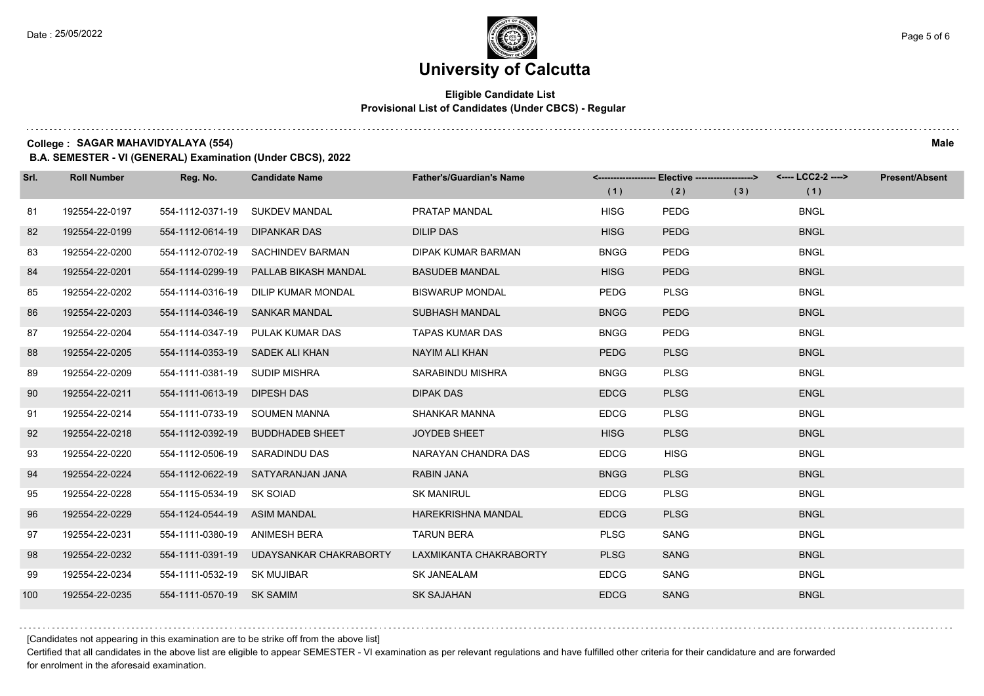#### **Eligible Candidate List Provisional List of Candidates (Under CBCS) - Regular**

**College : SAGAR MAHAVIDYALAYA (554) Male**

**B.A. SEMESTER - VI (GENERAL) Examination (Under CBCS), 2022**

| Srl. | <b>Roll Number</b> | Reg. No.                      | <b>Candidate Name</b>                 | <b>Father's/Guardian's Name</b> | (1)         | <-------------------- Elective -------------------><br>(2) | (3) | <---- LCC2-2 ----><br>(1) | <b>Present/Absent</b> |
|------|--------------------|-------------------------------|---------------------------------------|---------------------------------|-------------|------------------------------------------------------------|-----|---------------------------|-----------------------|
| 81   | 192554-22-0197     | 554-1112-0371-19              | <b>SUKDEV MANDAL</b>                  | PRATAP MANDAL                   | <b>HISG</b> | <b>PEDG</b>                                                |     | <b>BNGL</b>               |                       |
| 82   | 192554-22-0199     | 554-1112-0614-19              | <b>DIPANKAR DAS</b>                   | <b>DILIP DAS</b>                | <b>HISG</b> | <b>PEDG</b>                                                |     | <b>BNGL</b>               |                       |
| 83   | 192554-22-0200     |                               | 554-1112-0702-19 SACHINDEV BARMAN     | <b>DIPAK KUMAR BARMAN</b>       | <b>BNGG</b> | <b>PEDG</b>                                                |     | <b>BNGL</b>               |                       |
| 84   | 192554-22-0201     |                               | 554-1114-0299-19 PALLAB BIKASH MANDAL | <b>BASUDEB MANDAL</b>           | <b>HISG</b> | <b>PEDG</b>                                                |     | <b>BNGL</b>               |                       |
| 85   | 192554-22-0202     | 554-1114-0316-19              | DILIP KUMAR MONDAL                    | <b>BISWARUP MONDAL</b>          | <b>PEDG</b> | <b>PLSG</b>                                                |     | <b>BNGL</b>               |                       |
| 86   | 192554-22-0203     | 554-1114-0346-19              | <b>SANKAR MANDAL</b>                  | SUBHASH MANDAL                  | <b>BNGG</b> | <b>PEDG</b>                                                |     | <b>BNGL</b>               |                       |
| 87   | 192554-22-0204     |                               | 554-1114-0347-19 PULAK KUMAR DAS      | <b>TAPAS KUMAR DAS</b>          | <b>BNGG</b> | <b>PEDG</b>                                                |     | <b>BNGL</b>               |                       |
| 88   | 192554-22-0205     |                               | 554-1114-0353-19 SADEK ALI KHAN       | NAYIM ALI KHAN                  | <b>PEDG</b> | <b>PLSG</b>                                                |     | <b>BNGL</b>               |                       |
| 89   | 192554-22-0209     | 554-1111-0381-19 SUDIP MISHRA |                                       | SARABINDU MISHRA                | <b>BNGG</b> | <b>PLSG</b>                                                |     | <b>BNGL</b>               |                       |
| 90   | 192554-22-0211     | 554-1111-0613-19 DIPESH DAS   |                                       | <b>DIPAK DAS</b>                | <b>EDCG</b> | <b>PLSG</b>                                                |     | <b>ENGL</b>               |                       |
| 91   | 192554-22-0214     |                               | 554-1111-0733-19 SOUMEN MANNA         | SHANKAR MANNA                   | <b>EDCG</b> | <b>PLSG</b>                                                |     | <b>BNGL</b>               |                       |
| 92   | 192554-22-0218     | 554-1112-0392-19              | <b>BUDDHADEB SHEET</b>                | <b>JOYDEB SHEET</b>             | <b>HISG</b> | <b>PLSG</b>                                                |     | <b>BNGL</b>               |                       |
| 93   | 192554-22-0220     | 554-1112-0506-19              | SARADINDU DAS                         | NARAYAN CHANDRA DAS             | <b>EDCG</b> | <b>HISG</b>                                                |     | <b>BNGL</b>               |                       |
| 94   | 192554-22-0224     |                               | 554-1112-0622-19 SATYARANJAN JANA     | RABIN JANA                      | <b>BNGG</b> | <b>PLSG</b>                                                |     | <b>BNGL</b>               |                       |
| 95   | 192554-22-0228     | 554-1115-0534-19 SK SOIAD     |                                       | <b>SK MANIRUL</b>               | <b>EDCG</b> | <b>PLSG</b>                                                |     | <b>BNGL</b>               |                       |
| 96   | 192554-22-0229     | 554-1124-0544-19 ASIM MANDAL  |                                       | <b>HAREKRISHNA MANDAL</b>       | <b>EDCG</b> | <b>PLSG</b>                                                |     | <b>BNGL</b>               |                       |
| 97   | 192554-22-0231     | 554-1111-0380-19              | ANIMESH BERA                          | <b>TARUN BERA</b>               | <b>PLSG</b> | SANG                                                       |     | <b>BNGL</b>               |                       |
| 98   | 192554-22-0232     | 554-1111-0391-19              | UDAYSANKAR CHAKRABORTY                | LAXMIKANTA CHAKRABORTY          | <b>PLSG</b> | <b>SANG</b>                                                |     | <b>BNGL</b>               |                       |
| 99   | 192554-22-0234     | 554-1111-0532-19 SK MUJIBAR   |                                       | <b>SK JANEALAM</b>              | <b>EDCG</b> | SANG                                                       |     | <b>BNGL</b>               |                       |
| 100  | 192554-22-0235     | 554-1111-0570-19 SK SAMIM     |                                       | <b>SK SAJAHAN</b>               | <b>EDCG</b> | <b>SANG</b>                                                |     | <b>BNGL</b>               |                       |

[Candidates not appearing in this examination are to be strike off from the above list]

Certified that all candidates in the above list are eligible to appear SEMESTER - VI examination as per relevant regulations and have fulfilled other criteria for their candidature and are forwarded for enrolment in the aforesaid examination.